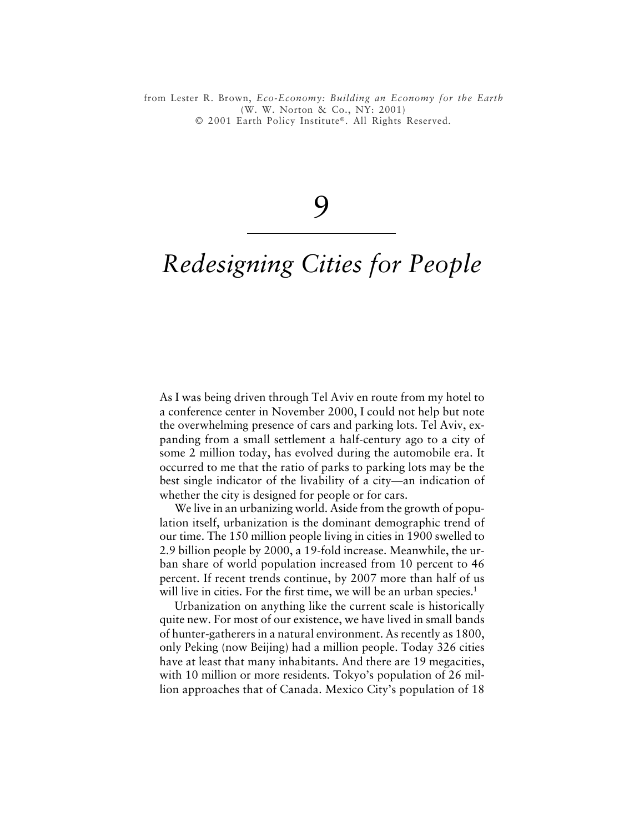*Redesigning Cities for People 187* © 2001 Earth Policy Institute®. All Rights Reserved.from Lester R. Brown, *Eco-Economy: Building an Economy for the Earth* (W. W. Norton & Co., NY: 2001)

9

# *Redesigning Cities for People*

As I was being driven through Tel Aviv en route from my hotel to a conference center in November 2000, I could not help but note the overwhelming presence of cars and parking lots. Tel Aviv, expanding from a small settlement a half-century ago to a city of some 2 million today, has evolved during the automobile era. It occurred to me that the ratio of parks to parking lots may be the best single indicator of the livability of a city—an indication of whether the city is designed for people or for cars.

We live in an urbanizing world. Aside from the growth of population itself, urbanization is the dominant demographic trend of our time. The 150 million people living in cities in 1900 swelled to 2.9 billion people by 2000, a 19-fold increase. Meanwhile, the urban share of world population increased from 10 percent to 46 percent. If recent trends continue, by 2007 more than half of us will live in cities. For the first time, we will be an urban species.<sup>1</sup>

Urbanization on anything like the current scale is historically quite new. For most of our existence, we have lived in small bands of hunter-gatherers in a natural environment. As recently as 1800, only Peking (now Beijing) had a million people. Today 326 cities have at least that many inhabitants. And there are 19 megacities, with 10 million or more residents. Tokyo's population of 26 million approaches that of Canada. Mexico City's population of 18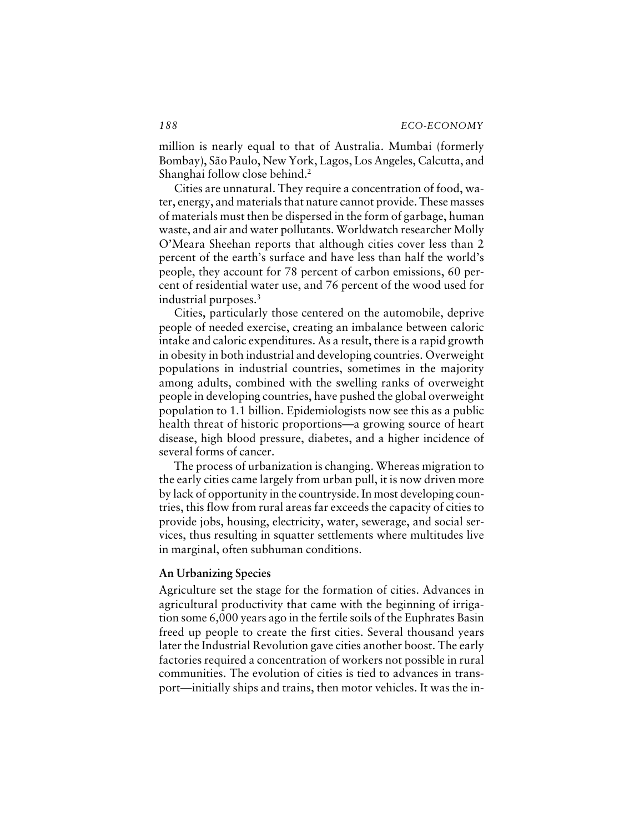million is nearly equal to that of Australia. Mumbai (formerly Bombay), São Paulo, New York, Lagos, Los Angeles, Calcutta, and Shanghai follow close behind.<sup>2</sup>

Cities are unnatural. They require a concentration of food, water, energy, and materials that nature cannot provide. These masses of materials must then be dispersed in the form of garbage, human waste, and air and water pollutants. Worldwatch researcher Molly O'Meara Sheehan reports that although cities cover less than 2 percent of the earth's surface and have less than half the world's people, they account for 78 percent of carbon emissions, 60 percent of residential water use, and 76 percent of the wood used for industrial purposes.<sup>3</sup>

Cities, particularly those centered on the automobile, deprive people of needed exercise, creating an imbalance between caloric intake and caloric expenditures. As a result, there is a rapid growth in obesity in both industrial and developing countries. Overweight populations in industrial countries, sometimes in the majority among adults, combined with the swelling ranks of overweight people in developing countries, have pushed the global overweight population to 1.1 billion. Epidemiologists now see this as a public health threat of historic proportions—a growing source of heart disease, high blood pressure, diabetes, and a higher incidence of several forms of cancer.

The process of urbanization is changing. Whereas migration to the early cities came largely from urban pull, it is now driven more by lack of opportunity in the countryside. In most developing countries, this flow from rural areas far exceeds the capacity of cities to provide jobs, housing, electricity, water, sewerage, and social services, thus resulting in squatter settlements where multitudes live in marginal, often subhuman conditions.

#### **An Urbanizing Species**

Agriculture set the stage for the formation of cities. Advances in agricultural productivity that came with the beginning of irrigation some 6,000 years ago in the fertile soils of the Euphrates Basin freed up people to create the first cities. Several thousand years later the Industrial Revolution gave cities another boost. The early factories required a concentration of workers not possible in rural communities. The evolution of cities is tied to advances in transport—initially ships and trains, then motor vehicles. It was the in-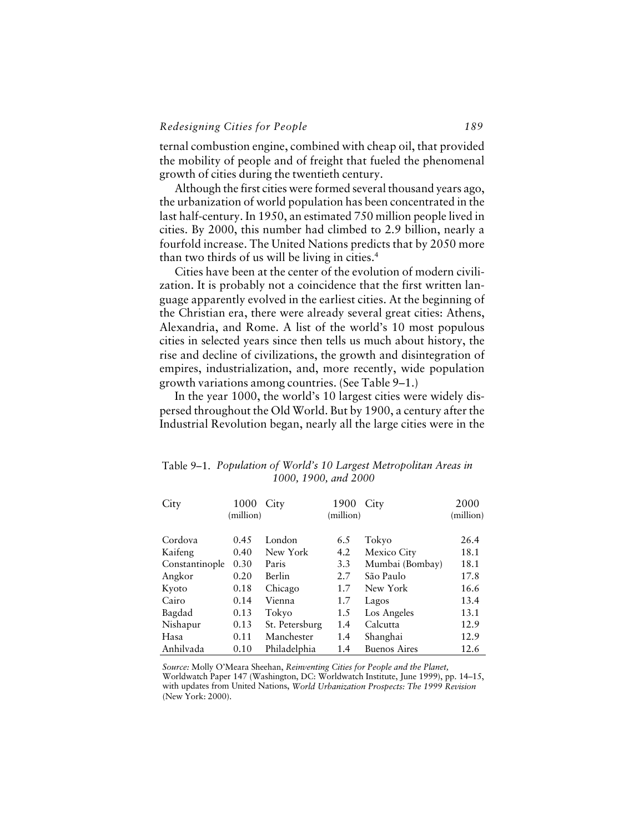ternal combustion engine, combined with cheap oil, that provided the mobility of people and of freight that fueled the phenomenal growth of cities during the twentieth century.

Although the first cities were formed several thousand years ago, the urbanization of world population has been concentrated in the last half-century. In 1950, an estimated 750 million people lived in cities. By 2000, this number had climbed to 2.9 billion, nearly a fourfold increase. The United Nations predicts that by 2050 more than two thirds of us will be living in cities.<sup>4</sup>

Cities have been at the center of the evolution of modern civilization. It is probably not a coincidence that the first written language apparently evolved in the earliest cities. At the beginning of the Christian era, there were already several great cities: Athens, Alexandria, and Rome. A list of the world's 10 most populous cities in selected years since then tells us much about history, the rise and decline of civilizations, the growth and disintegration of empires, industrialization, and, more recently, wide population growth variations among countries. (See Table 9–1.)

In the year 1000, the world's 10 largest cities were widely dispersed throughout the Old World. But by 1900, a century after the Industrial Revolution began, nearly all the large cities were in the

| City           | 1000<br>(million) | City           | 1900<br>(million) | City                | 2000<br>(million) |
|----------------|-------------------|----------------|-------------------|---------------------|-------------------|
| Cordova        | 0.45              | London         | 6.5               | Tokyo               | 26.4              |
| Kaifeng        | 0.40              | New York       | 4.2               | Mexico City         | 18.1              |
| Constantinople | 0.30              | Paris          | 3.3               | Mumbai (Bombay)     | 18.1              |
| Angkor         | 0.20              | Berlin         | 2.7               | São Paulo           | 17.8              |
| Kyoto          | 0.18              | Chicago        | 1.7               | New York            | 16.6              |
| Cairo          | 0.14              | Vienna         | 1.7               | Lagos               | 13.4              |
| Bagdad         | 0.13              | Tokyo          | 1.5               | Los Angeles         | 13.1              |
| Nishapur       | 0.13              | St. Petersburg | 1.4               | Calcutta            | 12.9              |
| Hasa           | 0.11              | Manchester     | 1.4               | Shanghai            | 12.9              |
| Anhilvada      | 0.10              | Philadelphia   | 1.4               | <b>Buenos Aires</b> | 12.6              |

Table 9–1. *Population of World's 10 Largest Metropolitan Areas in 1000, 1900, and 2000*

*Source:* Molly O'Meara Sheehan, *Reinventing Cities for People and the Planet,* Worldwatch Paper 147 (Washington, DC: Worldwatch Institute, June 1999), pp. 14–15,

with updates from United Nations, *World Urbanization Prospects: The 1999 Revision* (New York: 2000).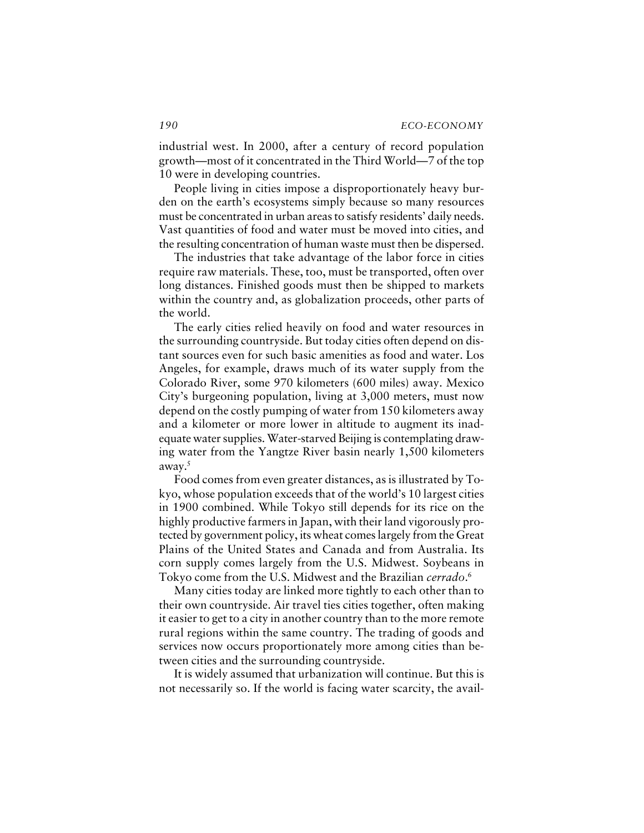industrial west. In 2000, after a century of record population growth—most of it concentrated in the Third World—7 of the top 10 were in developing countries.

People living in cities impose a disproportionately heavy burden on the earth's ecosystems simply because so many resources must be concentrated in urban areas to satisfy residents' daily needs. Vast quantities of food and water must be moved into cities, and the resulting concentration of human waste must then be dispersed.

The industries that take advantage of the labor force in cities require raw materials. These, too, must be transported, often over long distances. Finished goods must then be shipped to markets within the country and, as globalization proceeds, other parts of the world.

The early cities relied heavily on food and water resources in the surrounding countryside. But today cities often depend on distant sources even for such basic amenities as food and water. Los Angeles, for example, draws much of its water supply from the Colorado River, some 970 kilometers (600 miles) away. Mexico City's burgeoning population, living at 3,000 meters, must now depend on the costly pumping of water from 150 kilometers away and a kilometer or more lower in altitude to augment its inadequate water supplies. Water-starved Beijing is contemplating drawing water from the Yangtze River basin nearly 1,500 kilometers away.<sup>5</sup>

Food comes from even greater distances, as is illustrated by Tokyo, whose population exceeds that of the world's 10 largest cities in 1900 combined. While Tokyo still depends for its rice on the highly productive farmers in Japan, with their land vigorously protected by government policy, its wheat comes largely from the Great Plains of the United States and Canada and from Australia. Its corn supply comes largely from the U.S. Midwest. Soybeans in Tokyo come from the U.S. Midwest and the Brazilian *cerrado*. 6

Many cities today are linked more tightly to each other than to their own countryside. Air travel ties cities together, often making it easier to get to a city in another country than to the more remote rural regions within the same country. The trading of goods and services now occurs proportionately more among cities than between cities and the surrounding countryside.

It is widely assumed that urbanization will continue. But this is not necessarily so. If the world is facing water scarcity, the avail-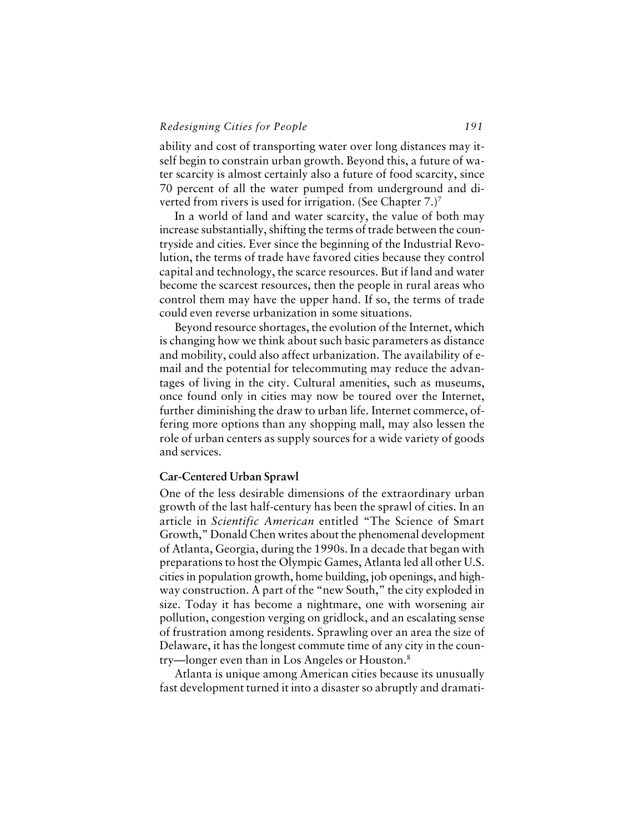ability and cost of transporting water over long distances may itself begin to constrain urban growth. Beyond this, a future of water scarcity is almost certainly also a future of food scarcity, since 70 percent of all the water pumped from underground and diverted from rivers is used for irrigation. (See Chapter 7.)<sup>7</sup>

In a world of land and water scarcity, the value of both may increase substantially, shifting the terms of trade between the countryside and cities. Ever since the beginning of the Industrial Revolution, the terms of trade have favored cities because they control capital and technology, the scarce resources. But if land and water become the scarcest resources, then the people in rural areas who control them may have the upper hand. If so, the terms of trade could even reverse urbanization in some situations.

Beyond resource shortages, the evolution of the Internet, which is changing how we think about such basic parameters as distance and mobility, could also affect urbanization. The availability of email and the potential for telecommuting may reduce the advantages of living in the city. Cultural amenities, such as museums, once found only in cities may now be toured over the Internet, further diminishing the draw to urban life. Internet commerce, offering more options than any shopping mall, may also lessen the role of urban centers as supply sources for a wide variety of goods and services.

#### **Car-Centered Urban Sprawl**

One of the less desirable dimensions of the extraordinary urban growth of the last half-century has been the sprawl of cities. In an article in *Scientific American* entitled "The Science of Smart Growth," Donald Chen writes about the phenomenal development of Atlanta, Georgia, during the 1990s. In a decade that began with preparations to host the Olympic Games, Atlanta led all other U.S. cities in population growth, home building, job openings, and highway construction. A part of the "new South," the city exploded in size. Today it has become a nightmare, one with worsening air pollution, congestion verging on gridlock, and an escalating sense of frustration among residents. Sprawling over an area the size of Delaware, it has the longest commute time of any city in the country-longer even than in Los Angeles or Houston.<sup>8</sup>

Atlanta is unique among American cities because its unusually fast development turned it into a disaster so abruptly and dramati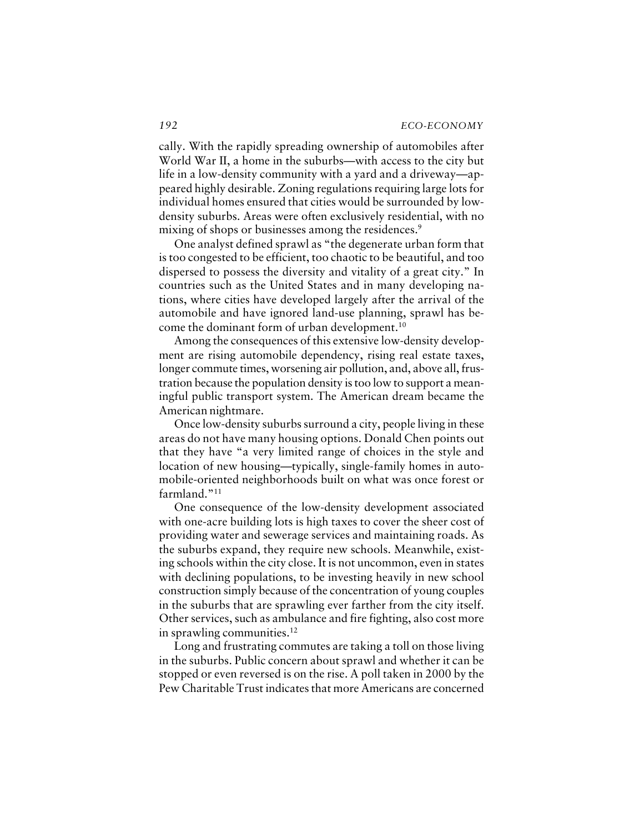cally. With the rapidly spreading ownership of automobiles after World War II, a home in the suburbs—with access to the city but life in a low-density community with a yard and a driveway—appeared highly desirable. Zoning regulations requiring large lots for individual homes ensured that cities would be surrounded by lowdensity suburbs. Areas were often exclusively residential, with no mixing of shops or businesses among the residences.<sup>9</sup>

One analyst defined sprawl as "the degenerate urban form that is too congested to be efficient, too chaotic to be beautiful, and too dispersed to possess the diversity and vitality of a great city." In countries such as the United States and in many developing nations, where cities have developed largely after the arrival of the automobile and have ignored land-use planning, sprawl has become the dominant form of urban development.<sup>10</sup>

Among the consequences of this extensive low-density development are rising automobile dependency, rising real estate taxes, longer commute times, worsening air pollution, and, above all, frustration because the population density is too low to support a meaningful public transport system. The American dream became the American nightmare.

Once low-density suburbs surround a city, people living in these areas do not have many housing options. Donald Chen points out that they have "a very limited range of choices in the style and location of new housing—typically, single-family homes in automobile-oriented neighborhoods built on what was once forest or farmland."<sup>11</sup>

One consequence of the low-density development associated with one-acre building lots is high taxes to cover the sheer cost of providing water and sewerage services and maintaining roads. As the suburbs expand, they require new schools. Meanwhile, existing schools within the city close. It is not uncommon, even in states with declining populations, to be investing heavily in new school construction simply because of the concentration of young couples in the suburbs that are sprawling ever farther from the city itself. Other services, such as ambulance and fire fighting, also cost more in sprawling communities. $12$ 

Long and frustrating commutes are taking a toll on those living in the suburbs. Public concern about sprawl and whether it can be stopped or even reversed is on the rise. A poll taken in 2000 by the Pew Charitable Trust indicates that more Americans are concerned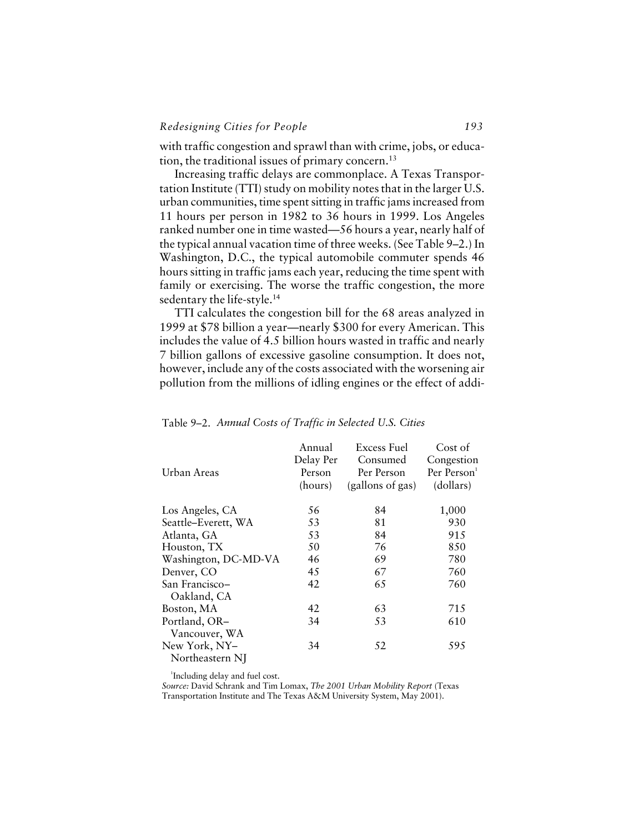with traffic congestion and sprawl than with crime, jobs, or education, the traditional issues of primary concern.<sup>13</sup>

Increasing traffic delays are commonplace. A Texas Transportation Institute (TTI) study on mobility notes that in the larger U.S. urban communities, time spent sitting in traffic jams increased from 11 hours per person in 1982 to 36 hours in 1999. Los Angeles ranked number one in time wasted—56 hours a year, nearly half of the typical annual vacation time of three weeks. (See Table 9–2.) In Washington, D.C., the typical automobile commuter spends 46 hours sitting in traffic jams each year, reducing the time spent with family or exercising. The worse the traffic congestion, the more sedentary the life-style.<sup>14</sup>

TTI calculates the congestion bill for the 68 areas analyzed in 1999 at \$78 billion a year—nearly \$300 for every American. This includes the value of 4.5 billion hours wasted in traffic and nearly 7 billion gallons of excessive gasoline consumption. It does not, however, include any of the costs associated with the worsening air pollution from the millions of idling engines or the effect of addi-

| Urban Areas          | Annual<br>Delay Per<br>Person<br>(hours) | Excess Fuel<br>Consumed<br>Per Person<br>(gallons of gas) | Cost of<br>Congestion<br>Per Person <sup>1</sup><br>(dollars) |
|----------------------|------------------------------------------|-----------------------------------------------------------|---------------------------------------------------------------|
| Los Angeles, CA      | 56                                       | 84                                                        | 1,000                                                         |
| Seattle-Everett, WA  | 53                                       | 81                                                        | 930                                                           |
| Atlanta, GA          | 53                                       | 84                                                        | 915                                                           |
| Houston, TX          | 50                                       | 76                                                        | 850                                                           |
| Washington, DC-MD-VA | 46                                       | 69                                                        | 780                                                           |
| Denver, CO           | 45                                       | 67                                                        | 760                                                           |
| San Francisco-       | 42                                       | 65                                                        | 760                                                           |
| Oakland, CA          |                                          |                                                           |                                                               |
| Boston, MA           | 42                                       | 63                                                        | 715                                                           |
| Portland, OR-        | 34                                       | 53                                                        | 610                                                           |
| Vancouver, WA        |                                          |                                                           |                                                               |
| New York, NY-        | 34                                       | 52                                                        | 595                                                           |
| Northeastern NJ      |                                          |                                                           |                                                               |

### Table 9–2. *Annual Costs of Traffic in Selected U.S. Cities*

<sup>1</sup>Including delay and fuel cost.

*Source:* David Schrank and Tim Lomax, *The 2001 Urban Mobility Report* (Texas Transportation Institute and The Texas A&M University System, May 2001).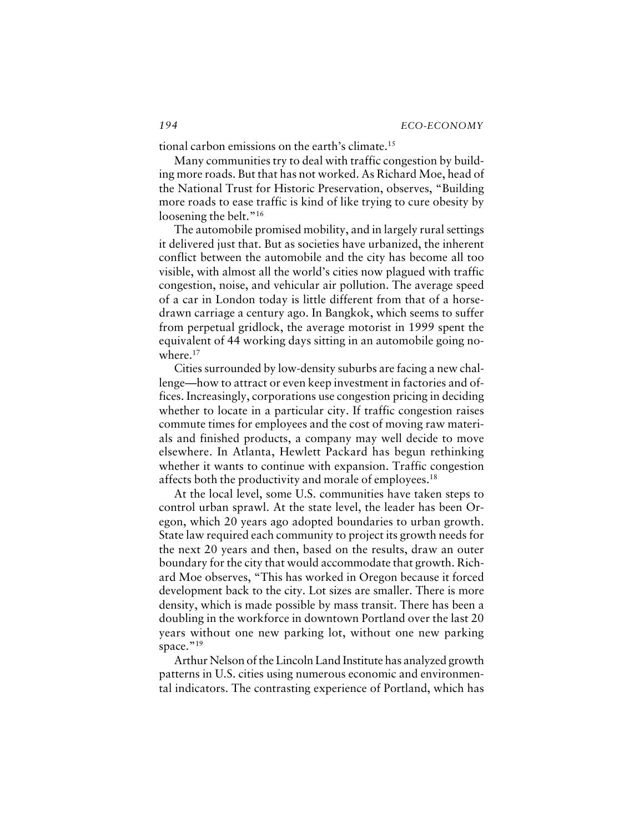tional carbon emissions on the earth's climate.<sup>15</sup>

Many communities try to deal with traffic congestion by building more roads. But that has not worked. As Richard Moe, head of the National Trust for Historic Preservation, observes, "Building more roads to ease traffic is kind of like trying to cure obesity by loosening the belt."<sup>16</sup>

The automobile promised mobility, and in largely rural settings it delivered just that. But as societies have urbanized, the inherent conflict between the automobile and the city has become all too visible, with almost all the world's cities now plagued with traffic congestion, noise, and vehicular air pollution. The average speed of a car in London today is little different from that of a horsedrawn carriage a century ago. In Bangkok, which seems to suffer from perpetual gridlock, the average motorist in 1999 spent the equivalent of 44 working days sitting in an automobile going nowhere.<sup>17</sup>

Cities surrounded by low-density suburbs are facing a new challenge—how to attract or even keep investment in factories and offices. Increasingly, corporations use congestion pricing in deciding whether to locate in a particular city. If traffic congestion raises commute times for employees and the cost of moving raw materials and finished products, a company may well decide to move elsewhere. In Atlanta, Hewlett Packard has begun rethinking whether it wants to continue with expansion. Traffic congestion affects both the productivity and morale of employees.<sup>18</sup>

At the local level, some U.S. communities have taken steps to control urban sprawl. At the state level, the leader has been Oregon, which 20 years ago adopted boundaries to urban growth. State law required each community to project its growth needs for the next 20 years and then, based on the results, draw an outer boundary for the city that would accommodate that growth. Richard Moe observes, "This has worked in Oregon because it forced development back to the city. Lot sizes are smaller. There is more density, which is made possible by mass transit. There has been a doubling in the workforce in downtown Portland over the last 20 years without one new parking lot, without one new parking space."<sup>19</sup>

Arthur Nelson of the Lincoln Land Institute has analyzed growth patterns in U.S. cities using numerous economic and environmental indicators. The contrasting experience of Portland, which has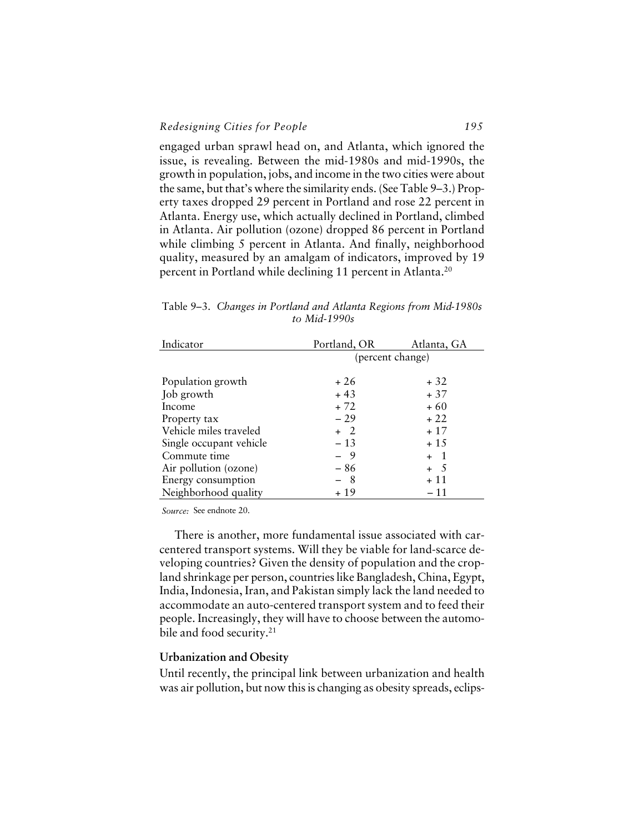engaged urban sprawl head on, and Atlanta, which ignored the issue, is revealing. Between the mid-1980s and mid-1990s, the growth in population, jobs, and income in the two cities were about the same, but that's where the similarity ends. (See Table 9–3.) Property taxes dropped 29 percent in Portland and rose 22 percent in Atlanta. Energy use, which actually declined in Portland, climbed in Atlanta. Air pollution (ozone) dropped 86 percent in Portland while climbing 5 percent in Atlanta. And finally, neighborhood quality, measured by an amalgam of indicators, improved by 19 percent in Portland while declining 11 percent in Atlanta.<sup>20</sup>

| Indicator               | Portland, OR     | Atlanta, GA |  |
|-------------------------|------------------|-------------|--|
|                         | (percent change) |             |  |
| Population growth       | $+26$            | $+32$       |  |
| Job growth              | $+43$            | $+37$       |  |
| Income                  | $+72$            | $+60$       |  |
| Property tax            | $-29$            | $+22$       |  |
| Vehicle miles traveled  | $+2$             | $+17$       |  |
| Single occupant vehicle | $-13$            | $+15$       |  |
| Commute time            | - 9              | + 1         |  |
| Air pollution (ozone)   | $-86$            | $+$ 5       |  |
| Energy consumption      | - 8              | + 11        |  |
| Neighborhood quality    | + 19             | - 11        |  |

|  | Table 9–3. Changes in Portland and Atlanta Regions from Mid-1980s |  |  |
|--|-------------------------------------------------------------------|--|--|
|  | to Mid-1990s                                                      |  |  |

*Source:* See endnote 20.

There is another, more fundamental issue associated with carcentered transport systems. Will they be viable for land-scarce developing countries? Given the density of population and the cropland shrinkage per person, countries like Bangladesh, China, Egypt, India, Indonesia, Iran, and Pakistan simply lack the land needed to accommodate an auto-centered transport system and to feed their people. Increasingly, they will have to choose between the automobile and food security.<sup>21</sup>

#### **Urbanization and Obesity**

Until recently, the principal link between urbanization and health was air pollution, but now this is changing as obesity spreads, eclips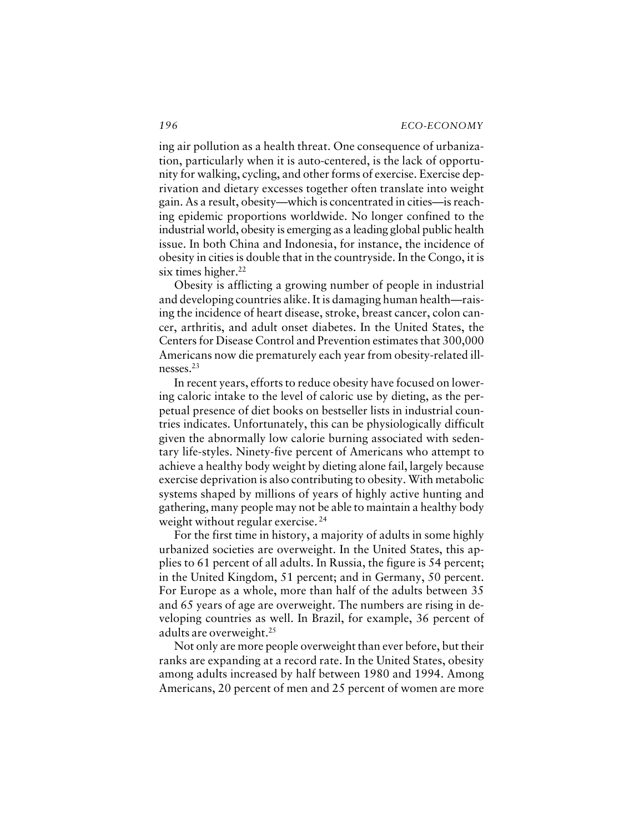ing air pollution as a health threat. One consequence of urbanization, particularly when it is auto-centered, is the lack of opportunity for walking, cycling, and other forms of exercise. Exercise deprivation and dietary excesses together often translate into weight gain. As a result, obesity—which is concentrated in cities—is reaching epidemic proportions worldwide. No longer confined to the industrial world, obesity is emerging as a leading global public health issue. In both China and Indonesia, for instance, the incidence of obesity in cities is double that in the countryside. In the Congo, it is six times higher.<sup>22</sup>

Obesity is afflicting a growing number of people in industrial and developing countries alike. It is damaging human health—raising the incidence of heart disease, stroke, breast cancer, colon cancer, arthritis, and adult onset diabetes. In the United States, the Centers for Disease Control and Prevention estimates that 300,000 Americans now die prematurely each year from obesity-related illnesses.<sup>23</sup>

In recent years, efforts to reduce obesity have focused on lowering caloric intake to the level of caloric use by dieting, as the perpetual presence of diet books on bestseller lists in industrial countries indicates. Unfortunately, this can be physiologically difficult given the abnormally low calorie burning associated with sedentary life-styles. Ninety-five percent of Americans who attempt to achieve a healthy body weight by dieting alone fail, largely because exercise deprivation is also contributing to obesity. With metabolic systems shaped by millions of years of highly active hunting and gathering, many people may not be able to maintain a healthy body weight without regular exercise.<sup>24</sup>

For the first time in history, a majority of adults in some highly urbanized societies are overweight. In the United States, this applies to 61 percent of all adults. In Russia, the figure is 54 percent; in the United Kingdom, 51 percent; and in Germany, 50 percent. For Europe as a whole, more than half of the adults between 35 and 65 years of age are overweight. The numbers are rising in developing countries as well. In Brazil, for example, 36 percent of adults are overweight.<sup>25</sup>

Not only are more people overweight than ever before, but their ranks are expanding at a record rate. In the United States, obesity among adults increased by half between 1980 and 1994. Among Americans, 20 percent of men and 25 percent of women are more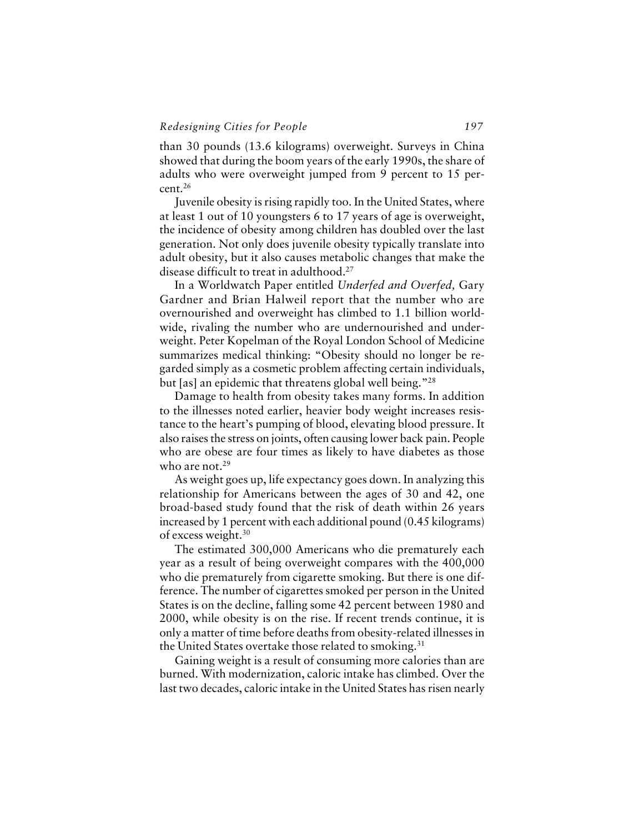than 30 pounds (13.6 kilograms) overweight. Surveys in China showed that during the boom years of the early 1990s, the share of adults who were overweight jumped from 9 percent to 15 percent.<sup>26</sup>

Juvenile obesity is rising rapidly too. In the United States, where at least 1 out of 10 youngsters 6 to 17 years of age is overweight, the incidence of obesity among children has doubled over the last generation. Not only does juvenile obesity typically translate into adult obesity, but it also causes metabolic changes that make the disease difficult to treat in adulthood.<sup>27</sup>

In a Worldwatch Paper entitled *Underfed and Overfed,* Gary Gardner and Brian Halweil report that the number who are overnourished and overweight has climbed to 1.1 billion worldwide, rivaling the number who are undernourished and underweight. Peter Kopelman of the Royal London School of Medicine summarizes medical thinking: "Obesity should no longer be regarded simply as a cosmetic problem affecting certain individuals, but [as] an epidemic that threatens global well being."<sup>28</sup>

Damage to health from obesity takes many forms. In addition to the illnesses noted earlier, heavier body weight increases resistance to the heart's pumping of blood, elevating blood pressure. It also raises the stress on joints, often causing lower back pain. People who are obese are four times as likely to have diabetes as those who are not.<sup>29</sup>

As weight goes up, life expectancy goes down. In analyzing this relationship for Americans between the ages of 30 and 42, one broad-based study found that the risk of death within 26 years increased by 1 percent with each additional pound (0.45 kilograms) of excess weight.<sup>30</sup>

The estimated 300,000 Americans who die prematurely each year as a result of being overweight compares with the 400,000 who die prematurely from cigarette smoking. But there is one difference. The number of cigarettes smoked per person in the United States is on the decline, falling some 42 percent between 1980 and 2000, while obesity is on the rise. If recent trends continue, it is only a matter of time before deaths from obesity-related illnesses in the United States overtake those related to smoking.<sup>31</sup>

Gaining weight is a result of consuming more calories than are burned. With modernization, caloric intake has climbed. Over the last two decades, caloric intake in the United States has risen nearly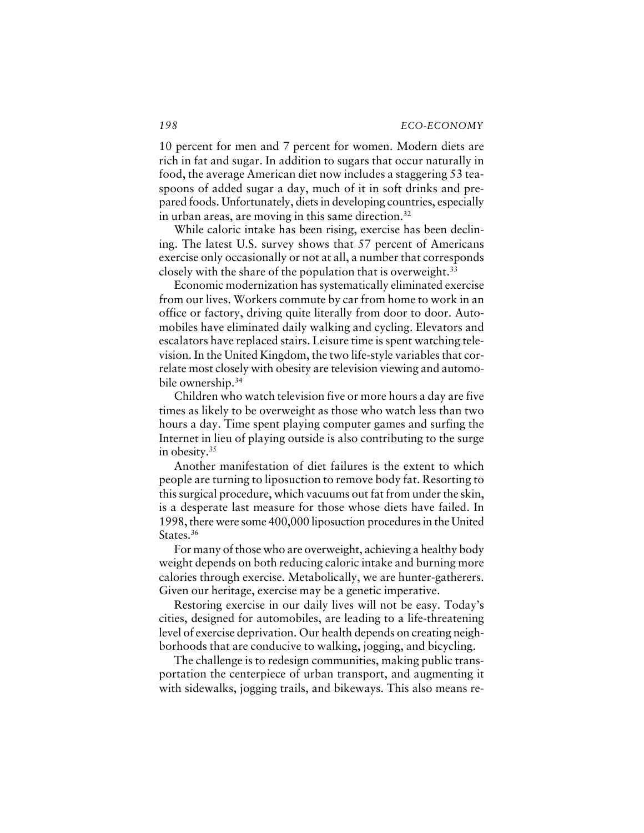10 percent for men and 7 percent for women. Modern diets are rich in fat and sugar. In addition to sugars that occur naturally in food, the average American diet now includes a staggering 53 teaspoons of added sugar a day, much of it in soft drinks and prepared foods. Unfortunately, diets in developing countries, especially in urban areas, are moving in this same direction.<sup>32</sup>

While caloric intake has been rising, exercise has been declining. The latest U.S. survey shows that 57 percent of Americans exercise only occasionally or not at all, a number that corresponds closely with the share of the population that is overweight.<sup>33</sup>

Economic modernization has systematically eliminated exercise from our lives. Workers commute by car from home to work in an office or factory, driving quite literally from door to door. Automobiles have eliminated daily walking and cycling. Elevators and escalators have replaced stairs. Leisure time is spent watching television. In the United Kingdom, the two life-style variables that correlate most closely with obesity are television viewing and automobile ownership.<sup>34</sup>

Children who watch television five or more hours a day are five times as likely to be overweight as those who watch less than two hours a day. Time spent playing computer games and surfing the Internet in lieu of playing outside is also contributing to the surge in obesity.<sup>35</sup>

Another manifestation of diet failures is the extent to which people are turning to liposuction to remove body fat. Resorting to this surgical procedure, which vacuums out fat from under the skin, is a desperate last measure for those whose diets have failed. In 1998, there were some 400,000 liposuction procedures in the United States.<sup>36</sup>

For many of those who are overweight, achieving a healthy body weight depends on both reducing caloric intake and burning more calories through exercise. Metabolically, we are hunter-gatherers. Given our heritage, exercise may be a genetic imperative.

Restoring exercise in our daily lives will not be easy. Today's cities, designed for automobiles, are leading to a life-threatening level of exercise deprivation. Our health depends on creating neighborhoods that are conducive to walking, jogging, and bicycling.

The challenge is to redesign communities, making public transportation the centerpiece of urban transport, and augmenting it with sidewalks, jogging trails, and bikeways. This also means re-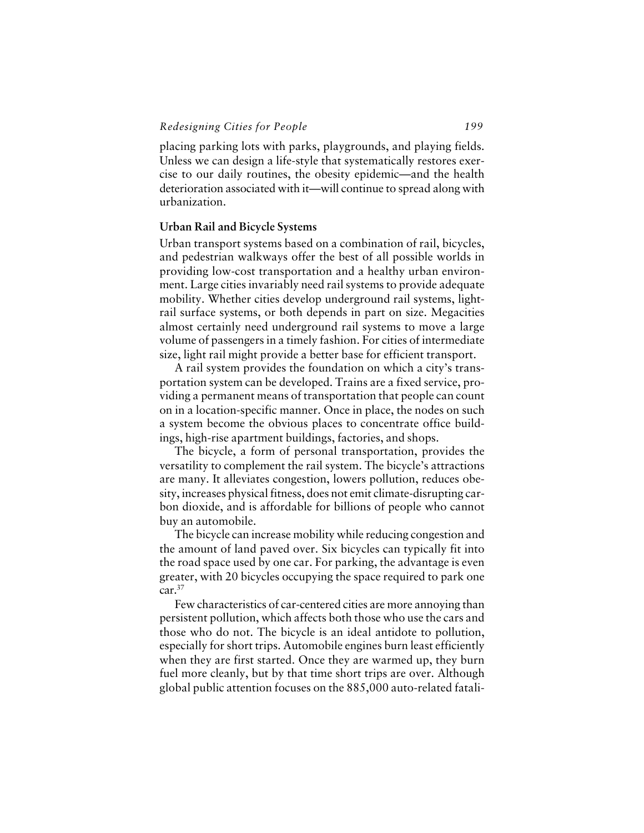placing parking lots with parks, playgrounds, and playing fields. Unless we can design a life-style that systematically restores exercise to our daily routines, the obesity epidemic—and the health deterioration associated with it—will continue to spread along with urbanization.

#### **Urban Rail and Bicycle Systems**

Urban transport systems based on a combination of rail, bicycles, and pedestrian walkways offer the best of all possible worlds in providing low-cost transportation and a healthy urban environment. Large cities invariably need rail systems to provide adequate mobility. Whether cities develop underground rail systems, lightrail surface systems, or both depends in part on size. Megacities almost certainly need underground rail systems to move a large volume of passengers in a timely fashion. For cities of intermediate size, light rail might provide a better base for efficient transport.

A rail system provides the foundation on which a city's transportation system can be developed. Trains are a fixed service, providing a permanent means of transportation that people can count on in a location-specific manner. Once in place, the nodes on such a system become the obvious places to concentrate office buildings, high-rise apartment buildings, factories, and shops.

The bicycle, a form of personal transportation, provides the versatility to complement the rail system. The bicycle's attractions are many. It alleviates congestion, lowers pollution, reduces obesity, increases physical fitness, does not emit climate-disrupting carbon dioxide, and is affordable for billions of people who cannot buy an automobile.

The bicycle can increase mobility while reducing congestion and the amount of land paved over. Six bicycles can typically fit into the road space used by one car. For parking, the advantage is even greater, with 20 bicycles occupying the space required to park one  $car<sup>37</sup>$ 

Few characteristics of car-centered cities are more annoying than persistent pollution, which affects both those who use the cars and those who do not. The bicycle is an ideal antidote to pollution, especially for short trips. Automobile engines burn least efficiently when they are first started. Once they are warmed up, they burn fuel more cleanly, but by that time short trips are over. Although global public attention focuses on the 885,000 auto-related fatali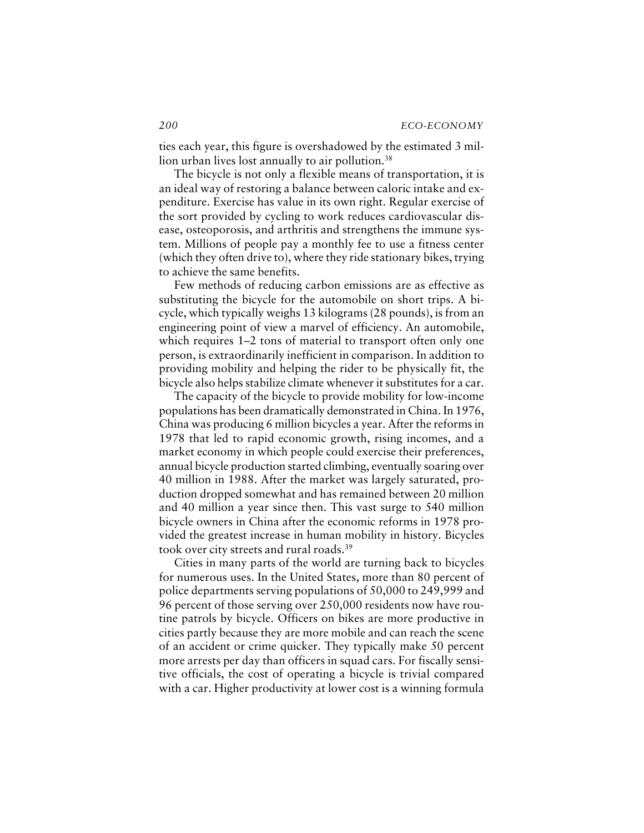ties each year, this figure is overshadowed by the estimated 3 million urban lives lost annually to air pollution.<sup>38</sup>

The bicycle is not only a flexible means of transportation, it is an ideal way of restoring a balance between caloric intake and expenditure. Exercise has value in its own right. Regular exercise of the sort provided by cycling to work reduces cardiovascular disease, osteoporosis, and arthritis and strengthens the immune system. Millions of people pay a monthly fee to use a fitness center (which they often drive to), where they ride stationary bikes, trying to achieve the same benefits.

Few methods of reducing carbon emissions are as effective as substituting the bicycle for the automobile on short trips. A bicycle, which typically weighs 13 kilograms (28 pounds), is from an engineering point of view a marvel of efficiency. An automobile, which requires 1–2 tons of material to transport often only one person, is extraordinarily inefficient in comparison. In addition to providing mobility and helping the rider to be physically fit, the bicycle also helps stabilize climate whenever it substitutes for a car.

The capacity of the bicycle to provide mobility for low-income populations has been dramatically demonstrated in China. In 1976, China was producing 6 million bicycles a year. After the reforms in 1978 that led to rapid economic growth, rising incomes, and a market economy in which people could exercise their preferences, annual bicycle production started climbing, eventually soaring over 40 million in 1988. After the market was largely saturated, production dropped somewhat and has remained between 20 million and 40 million a year since then. This vast surge to 540 million bicycle owners in China after the economic reforms in 1978 provided the greatest increase in human mobility in history. Bicycles took over city streets and rural roads.<sup>39</sup>

Cities in many parts of the world are turning back to bicycles for numerous uses. In the United States, more than 80 percent of police departments serving populations of 50,000 to 249,999 and 96 percent of those serving over 250,000 residents now have routine patrols by bicycle. Officers on bikes are more productive in cities partly because they are more mobile and can reach the scene of an accident or crime quicker. They typically make 50 percent more arrests per day than officers in squad cars. For fiscally sensitive officials, the cost of operating a bicycle is trivial compared with a car. Higher productivity at lower cost is a winning formula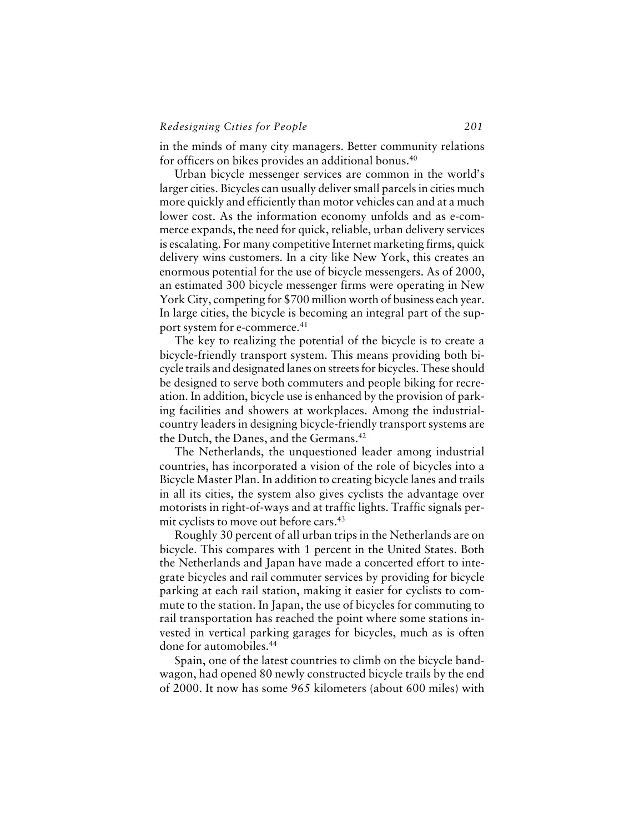in the minds of many city managers. Better community relations for officers on bikes provides an additional bonus.<sup>40</sup>

Urban bicycle messenger services are common in the world's larger cities. Bicycles can usually deliver small parcels in cities much more quickly and efficiently than motor vehicles can and at a much lower cost. As the information economy unfolds and as e-commerce expands, the need for quick, reliable, urban delivery services is escalating. For many competitive Internet marketing firms, quick delivery wins customers. In a city like New York, this creates an enormous potential for the use of bicycle messengers. As of 2000, an estimated 300 bicycle messenger firms were operating in New York City, competing for \$700 million worth of business each year. In large cities, the bicycle is becoming an integral part of the support system for e-commerce.<sup>41</sup>

The key to realizing the potential of the bicycle is to create a bicycle-friendly transport system. This means providing both bicycle trails and designated lanes on streets for bicycles. These should be designed to serve both commuters and people biking for recreation. In addition, bicycle use is enhanced by the provision of parking facilities and showers at workplaces. Among the industrialcountry leaders in designing bicycle-friendly transport systems are the Dutch, the Danes, and the Germans.<sup>42</sup>

The Netherlands, the unquestioned leader among industrial countries, has incorporated a vision of the role of bicycles into a Bicycle Master Plan. In addition to creating bicycle lanes and trails in all its cities, the system also gives cyclists the advantage over motorists in right-of-ways and at traffic lights. Traffic signals permit cyclists to move out before cars.<sup>43</sup>

Roughly 30 percent of all urban trips in the Netherlands are on bicycle. This compares with 1 percent in the United States. Both the Netherlands and Japan have made a concerted effort to integrate bicycles and rail commuter services by providing for bicycle parking at each rail station, making it easier for cyclists to commute to the station. In Japan, the use of bicycles for commuting to rail transportation has reached the point where some stations invested in vertical parking garages for bicycles, much as is often done for automobiles.<sup>44</sup>

Spain, one of the latest countries to climb on the bicycle bandwagon, had opened 80 newly constructed bicycle trails by the end of 2000. It now has some 965 kilometers (about 600 miles) with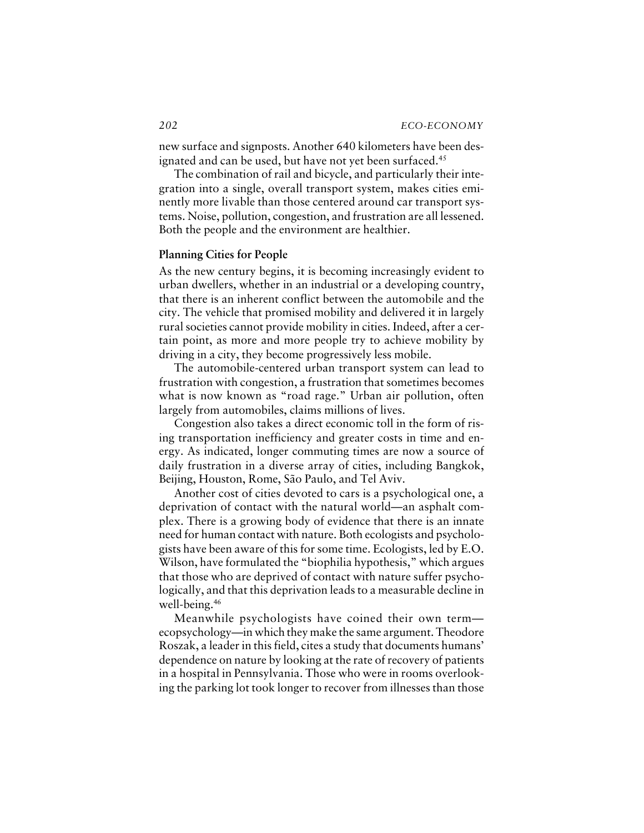new surface and signposts. Another 640 kilometers have been designated and can be used, but have not yet been surfaced.<sup>45</sup>

The combination of rail and bicycle, and particularly their integration into a single, overall transport system, makes cities eminently more livable than those centered around car transport systems. Noise, pollution, congestion, and frustration are all lessened. Both the people and the environment are healthier.

#### **Planning Cities for People**

As the new century begins, it is becoming increasingly evident to urban dwellers, whether in an industrial or a developing country, that there is an inherent conflict between the automobile and the city. The vehicle that promised mobility and delivered it in largely rural societies cannot provide mobility in cities. Indeed, after a certain point, as more and more people try to achieve mobility by driving in a city, they become progressively less mobile.

The automobile-centered urban transport system can lead to frustration with congestion, a frustration that sometimes becomes what is now known as "road rage." Urban air pollution, often largely from automobiles, claims millions of lives.

Congestion also takes a direct economic toll in the form of rising transportation inefficiency and greater costs in time and energy. As indicated, longer commuting times are now a source of daily frustration in a diverse array of cities, including Bangkok, Beijing, Houston, Rome, São Paulo, and Tel Aviv.

Another cost of cities devoted to cars is a psychological one, a deprivation of contact with the natural world—an asphalt complex. There is a growing body of evidence that there is an innate need for human contact with nature. Both ecologists and psychologists have been aware of this for some time. Ecologists, led by E.O. Wilson, have formulated the "biophilia hypothesis," which argues that those who are deprived of contact with nature suffer psychologically, and that this deprivation leads to a measurable decline in well-being.<sup>46</sup>

Meanwhile psychologists have coined their own term ecopsychology—in which they make the same argument. Theodore Roszak, a leader in this field, cites a study that documents humans' dependence on nature by looking at the rate of recovery of patients in a hospital in Pennsylvania. Those who were in rooms overlooking the parking lot took longer to recover from illnesses than those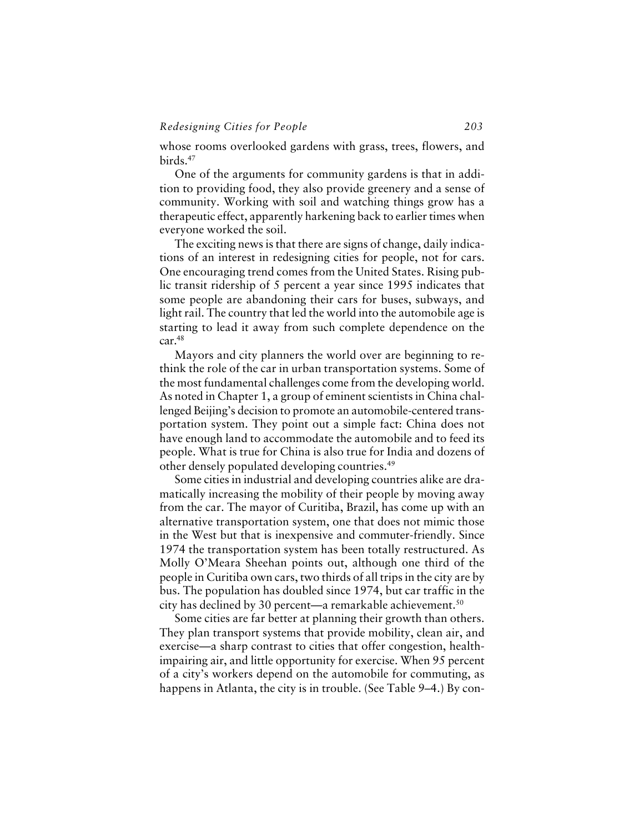whose rooms overlooked gardens with grass, trees, flowers, and birds.<sup>47</sup>

One of the arguments for community gardens is that in addition to providing food, they also provide greenery and a sense of community. Working with soil and watching things grow has a therapeutic effect, apparently harkening back to earlier times when everyone worked the soil.

The exciting news is that there are signs of change, daily indications of an interest in redesigning cities for people, not for cars. One encouraging trend comes from the United States. Rising public transit ridership of 5 percent a year since 1995 indicates that some people are abandoning their cars for buses, subways, and light rail. The country that led the world into the automobile age is starting to lead it away from such complete dependence on the  $car<sup>48</sup>$ 

Mayors and city planners the world over are beginning to rethink the role of the car in urban transportation systems. Some of the most fundamental challenges come from the developing world. As noted in Chapter 1, a group of eminent scientists in China challenged Beijing's decision to promote an automobile-centered transportation system. They point out a simple fact: China does not have enough land to accommodate the automobile and to feed its people. What is true for China is also true for India and dozens of other densely populated developing countries.<sup>49</sup>

Some cities in industrial and developing countries alike are dramatically increasing the mobility of their people by moving away from the car. The mayor of Curitiba, Brazil, has come up with an alternative transportation system, one that does not mimic those in the West but that is inexpensive and commuter-friendly. Since 1974 the transportation system has been totally restructured. As Molly O'Meara Sheehan points out, although one third of the people in Curitiba own cars, two thirds of all trips in the city are by bus. The population has doubled since 1974, but car traffic in the city has declined by 30 percent—a remarkable achievement.<sup>50</sup>

Some cities are far better at planning their growth than others. They plan transport systems that provide mobility, clean air, and exercise—a sharp contrast to cities that offer congestion, healthimpairing air, and little opportunity for exercise. When 95 percent of a city's workers depend on the automobile for commuting, as happens in Atlanta, the city is in trouble. (See Table 9–4.) By con-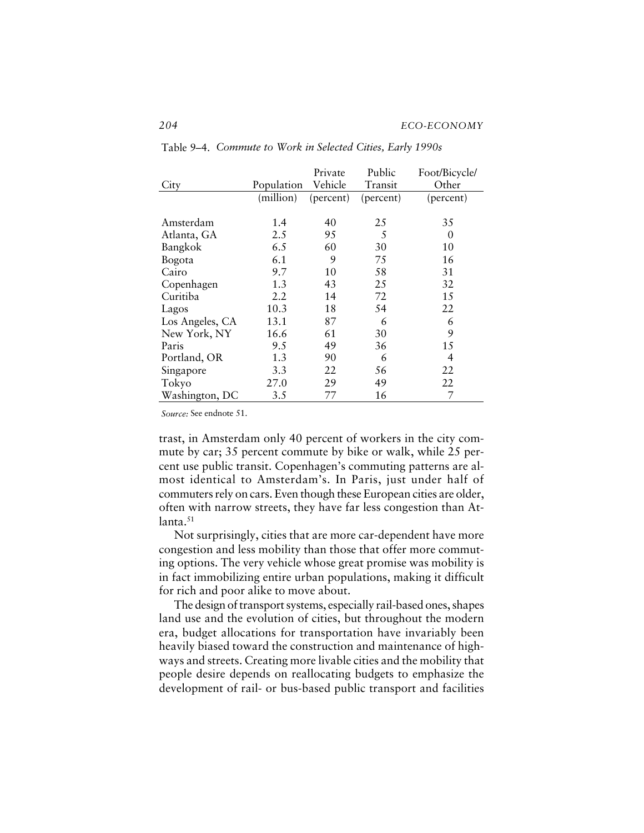|                 |            | Private     | Public    | Foot/Bicycle/ |
|-----------------|------------|-------------|-----------|---------------|
| City            | Population | Vehicle     | Transit   | Other         |
|                 | (million)  | $(percent)$ | (percent) | (percent)     |
|                 |            |             |           |               |
| Amsterdam       | 1.4        | 40          | 25        | 35            |
| Atlanta, GA     | 2.5        | 95          | 5         | $\Omega$      |
| Bangkok         | 6.5        | 60          | 30        | 10            |
| Bogota          | 6.1        | 9           | 75        | 16            |
| Cairo           | 9.7        | 10          | 58        | 31            |
| Copenhagen      | 1.3        | 43          | 25        | 32            |
| Curitiba        | 2.2        | 14          | 72        | 15            |
| Lagos           | 10.3       | 18          | 54        | 22            |
| Los Angeles, CA | 13.1       | 87          | 6         | 6             |
| New York, NY    | 16.6       | 61          | 30        | 9             |
| Paris           | 9.5        | 49          | 36        | 15            |
| Portland, OR    | 1.3        | 90          | 6         | 4             |
| Singapore       | 3.3        | 22          | 56        | 22            |
| Tokyo           | 27.0       | 29          | 49        | 22            |
| Washington, DC  | 3.5        | 77          | 16        | 7             |

Table 9–4. *Commute to Work in Selected Cities, Early 1990s*

*Source:* See endnote 51.

trast, in Amsterdam only 40 percent of workers in the city commute by car; 35 percent commute by bike or walk, while 25 percent use public transit. Copenhagen's commuting patterns are almost identical to Amsterdam's. In Paris, just under half of commuters rely on cars. Even though these European cities are older, often with narrow streets, they have far less congestion than Atlanta.<sup>51</sup>

Not surprisingly, cities that are more car-dependent have more congestion and less mobility than those that offer more commuting options. The very vehicle whose great promise was mobility is in fact immobilizing entire urban populations, making it difficult for rich and poor alike to move about.

The design of transport systems, especially rail-based ones, shapes land use and the evolution of cities, but throughout the modern era, budget allocations for transportation have invariably been heavily biased toward the construction and maintenance of highways and streets. Creating more livable cities and the mobility that people desire depends on reallocating budgets to emphasize the development of rail- or bus-based public transport and facilities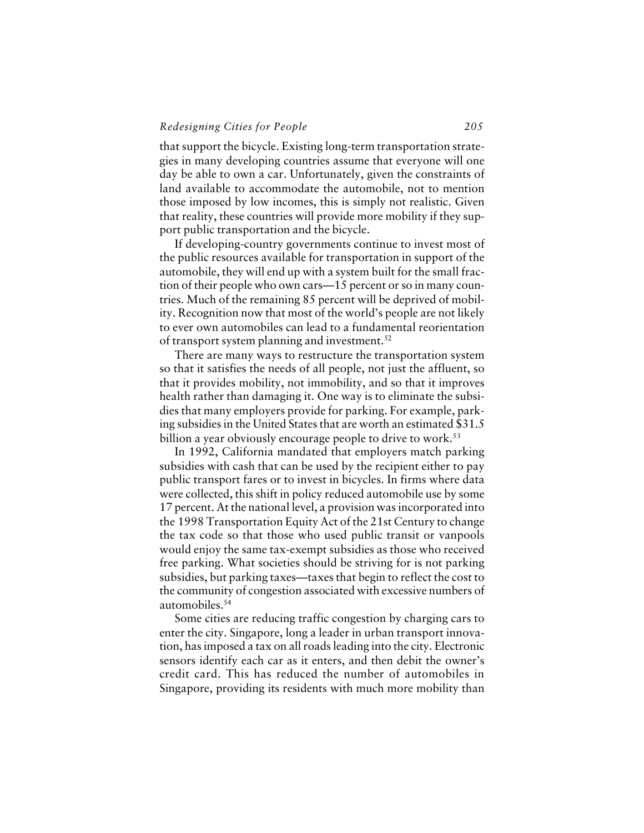that support the bicycle. Existing long-term transportation strategies in many developing countries assume that everyone will one day be able to own a car. Unfortunately, given the constraints of land available to accommodate the automobile, not to mention those imposed by low incomes, this is simply not realistic. Given that reality, these countries will provide more mobility if they support public transportation and the bicycle.

If developing-country governments continue to invest most of the public resources available for transportation in support of the automobile, they will end up with a system built for the small fraction of their people who own cars—15 percent or so in many countries. Much of the remaining 85 percent will be deprived of mobility. Recognition now that most of the world's people are not likely to ever own automobiles can lead to a fundamental reorientation of transport system planning and investment.<sup>52</sup>

There are many ways to restructure the transportation system so that it satisfies the needs of all people, not just the affluent, so that it provides mobility, not immobility, and so that it improves health rather than damaging it. One way is to eliminate the subsidies that many employers provide for parking. For example, parking subsidies in the United States that are worth an estimated \$31.5 billion a year obviously encourage people to drive to work.<sup>53</sup>

In 1992, California mandated that employers match parking subsidies with cash that can be used by the recipient either to pay public transport fares or to invest in bicycles. In firms where data were collected, this shift in policy reduced automobile use by some 17 percent. At the national level, a provision was incorporated into the 1998 Transportation Equity Act of the 21st Century to change the tax code so that those who used public transit or vanpools would enjoy the same tax-exempt subsidies as those who received free parking. What societies should be striving for is not parking subsidies, but parking taxes—taxes that begin to reflect the cost to the community of congestion associated with excessive numbers of automobiles.<sup>54</sup>

Some cities are reducing traffic congestion by charging cars to enter the city. Singapore, long a leader in urban transport innovation, has imposed a tax on all roads leading into the city. Electronic sensors identify each car as it enters, and then debit the owner's credit card. This has reduced the number of automobiles in Singapore, providing its residents with much more mobility than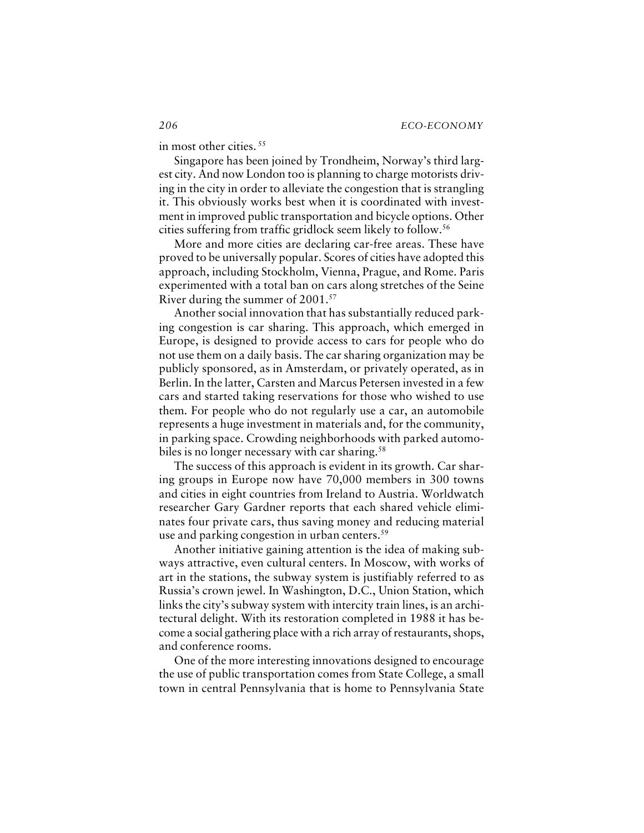in most other cities.  $55$ 

Singapore has been joined by Trondheim, Norway's third largest city. And now London too is planning to charge motorists driving in the city in order to alleviate the congestion that is strangling it. This obviously works best when it is coordinated with investment in improved public transportation and bicycle options. Other cities suffering from traffic gridlock seem likely to follow.<sup>56</sup>

More and more cities are declaring car-free areas. These have proved to be universally popular. Scores of cities have adopted this approach, including Stockholm, Vienna, Prague, and Rome. Paris experimented with a total ban on cars along stretches of the Seine River during the summer of 2001.<sup>57</sup>

Another social innovation that has substantially reduced parking congestion is car sharing. This approach, which emerged in Europe, is designed to provide access to cars for people who do not use them on a daily basis. The car sharing organization may be publicly sponsored, as in Amsterdam, or privately operated, as in Berlin. In the latter, Carsten and Marcus Petersen invested in a few cars and started taking reservations for those who wished to use them. For people who do not regularly use a car, an automobile represents a huge investment in materials and, for the community, in parking space. Crowding neighborhoods with parked automobiles is no longer necessary with car sharing.<sup>58</sup>

The success of this approach is evident in its growth. Car sharing groups in Europe now have 70,000 members in 300 towns and cities in eight countries from Ireland to Austria. Worldwatch researcher Gary Gardner reports that each shared vehicle eliminates four private cars, thus saving money and reducing material use and parking congestion in urban centers.<sup>59</sup>

Another initiative gaining attention is the idea of making subways attractive, even cultural centers. In Moscow, with works of art in the stations, the subway system is justifiably referred to as Russia's crown jewel. In Washington, D.C., Union Station, which links the city's subway system with intercity train lines, is an architectural delight. With its restoration completed in 1988 it has become a social gathering place with a rich array of restaurants, shops, and conference rooms.

One of the more interesting innovations designed to encourage the use of public transportation comes from State College, a small town in central Pennsylvania that is home to Pennsylvania State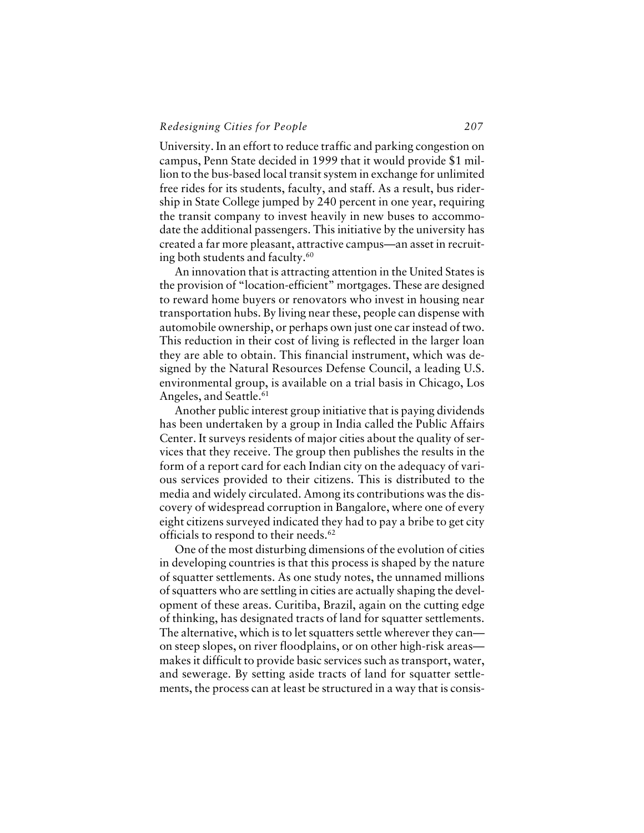University. In an effort to reduce traffic and parking congestion on campus, Penn State decided in 1999 that it would provide \$1 million to the bus-based local transit system in exchange for unlimited free rides for its students, faculty, and staff. As a result, bus ridership in State College jumped by 240 percent in one year, requiring the transit company to invest heavily in new buses to accommodate the additional passengers. This initiative by the university has created a far more pleasant, attractive campus—an asset in recruiting both students and faculty.<sup>60</sup>

An innovation that is attracting attention in the United States is the provision of "location-efficient" mortgages. These are designed to reward home buyers or renovators who invest in housing near transportation hubs. By living near these, people can dispense with automobile ownership, or perhaps own just one car instead of two. This reduction in their cost of living is reflected in the larger loan they are able to obtain. This financial instrument, which was designed by the Natural Resources Defense Council, a leading U.S. environmental group, is available on a trial basis in Chicago, Los Angeles, and Seattle.<sup>61</sup>

Another public interest group initiative that is paying dividends has been undertaken by a group in India called the Public Affairs Center. It surveys residents of major cities about the quality of services that they receive. The group then publishes the results in the form of a report card for each Indian city on the adequacy of various services provided to their citizens. This is distributed to the media and widely circulated. Among its contributions was the discovery of widespread corruption in Bangalore, where one of every eight citizens surveyed indicated they had to pay a bribe to get city officials to respond to their needs.<sup>62</sup>

One of the most disturbing dimensions of the evolution of cities in developing countries is that this process is shaped by the nature of squatter settlements. As one study notes, the unnamed millions of squatters who are settling in cities are actually shaping the development of these areas. Curitiba, Brazil, again on the cutting edge of thinking, has designated tracts of land for squatter settlements. The alternative, which is to let squatters settle wherever they can on steep slopes, on river floodplains, or on other high-risk areas makes it difficult to provide basic services such as transport, water, and sewerage. By setting aside tracts of land for squatter settlements, the process can at least be structured in a way that is consis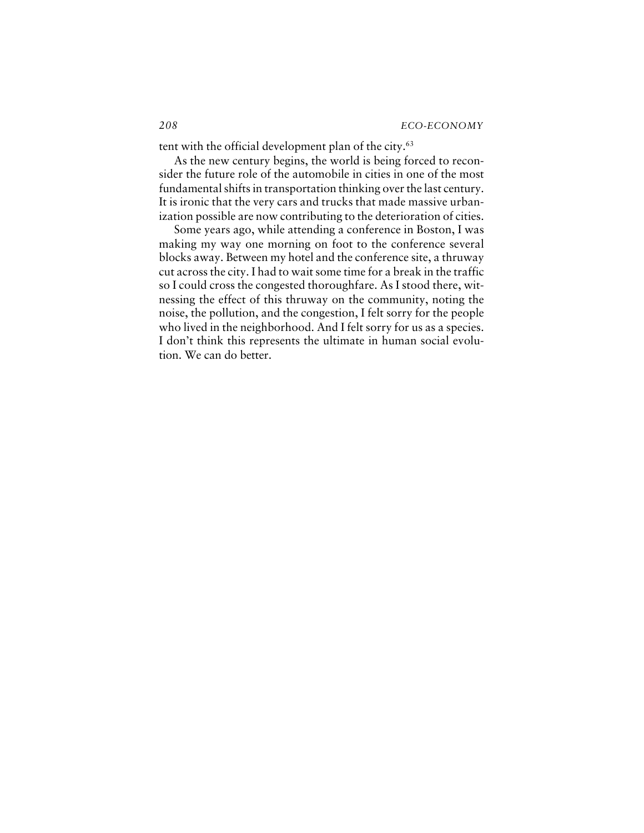tent with the official development plan of the city.<sup>63</sup>

As the new century begins, the world is being forced to reconsider the future role of the automobile in cities in one of the most fundamental shifts in transportation thinking over the last century. It is ironic that the very cars and trucks that made massive urbanization possible are now contributing to the deterioration of cities.

Some years ago, while attending a conference in Boston, I was making my way one morning on foot to the conference several blocks away. Between my hotel and the conference site, a thruway cut across the city. I had to wait some time for a break in the traffic so I could cross the congested thoroughfare. As I stood there, witnessing the effect of this thruway on the community, noting the noise, the pollution, and the congestion, I felt sorry for the people who lived in the neighborhood. And I felt sorry for us as a species. I don't think this represents the ultimate in human social evolution. We can do better.